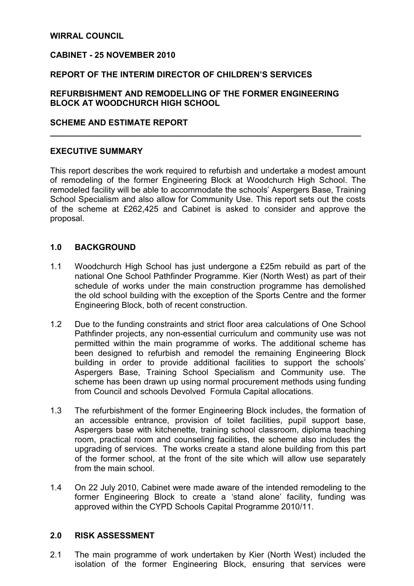### WIRRAL COUNCIL

### CABINET - 25 NOVEMBER 2010

### REPORT OF THE INTERIM DIRECTOR OF CHILDREN'S SERVICES

## REFURBISHMENT AND REMODELLING OF THE FORMER ENGINEERING BLOCK AT WOODCHURCH HIGH SCHOOL

### SCHEME AND ESTIMATE REPORT

### EXECUTIVE SUMMARY

This report describes the work required to refurbish and undertake a modest amount of remodeling of the former Engineering Block at Woodchurch High School. The remodeled facility will be able to accommodate the schools' Aspergers Base, Training School Specialism and also allow for Community Use. This report sets out the costs of the scheme at £262,425 and Cabinet is asked to consider and approve the proposal.

 $\overline{\phantom{a}}$  , and the contribution of the contribution of the contribution of the contribution of the contribution of the contribution of the contribution of the contribution of the contribution of the contribution of the

### 1.0 BACKGROUND

- 1.1 Woodchurch High School has just undergone a £25m rebuild as part of the national One School Pathfinder Programme. Kier (North West) as part of their schedule of works under the main construction programme has demolished the old school building with the exception of the Sports Centre and the former Engineering Block, both of recent construction.
- 1.2 Due to the funding constraints and strict floor area calculations of One School Pathfinder projects, any non-essential curriculum and community use was not permitted within the main programme of works. The additional scheme has been designed to refurbish and remodel the remaining Engineering Block building in order to provide additional facilities to support the schools' Aspergers Base, Training School Specialism and Community use. The scheme has been drawn up using normal procurement methods using funding from Council and schools Devolved Formula Capital allocations.
- 1.3 The refurbishment of the former Engineering Block includes, the formation of an accessible entrance, provision of toilet facilities, pupil support base, Aspergers base with kitchenette, training school classroom, diploma teaching room, practical room and counseling facilities, the scheme also includes the upgrading of services. The works create a stand alone building from this part of the former school, at the front of the site which will allow use separately from the main school.
- 1.4 On 22 July 2010, Cabinet were made aware of the intended remodeling to the former Engineering Block to create a 'stand alone' facility, funding was approved within the CYPD Schools Capital Programme 2010/11.

#### 2.0 RISK ASSESSMENT

2.1 The main programme of work undertaken by Kier (North West) included the isolation of the former Engineering Block, ensuring that services were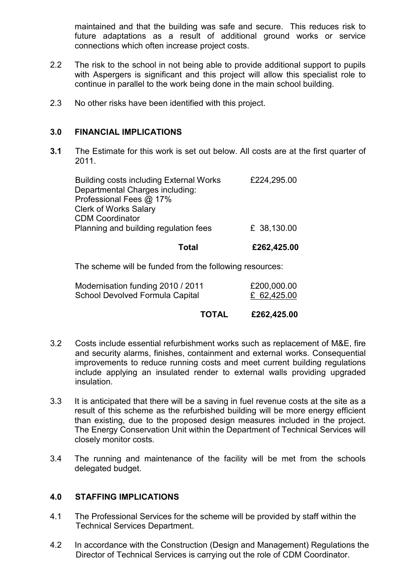maintained and that the building was safe and secure. This reduces risk to future adaptations as a result of additional ground works or service connections which often increase project costs.

- 2.2 The risk to the school in not being able to provide additional support to pupils with Aspergers is significant and this project will allow this specialist role to continue in parallel to the work being done in the main school building.
- 2.3 No other risks have been identified with this project.

## 3.0 FINANCIAL IMPLICATIONS

3.1 The Estimate for this work is set out below. All costs are at the first quarter of 2011.

| <b>Building costs including External Works</b><br>Departmental Charges including: | £224,295.00 |
|-----------------------------------------------------------------------------------|-------------|
| Professional Fees @ 17%                                                           |             |
| <b>Clerk of Works Salary</b>                                                      |             |
| <b>CDM Coordinator</b>                                                            |             |
| Planning and building regulation fees                                             | £ 38,130.00 |
|                                                                                   |             |

### Total £262,425.00

The scheme will be funded from the following resources:

| Modernisation funding 2010 / 2011 | £200,000.00 |
|-----------------------------------|-------------|
| School Devolved Formula Capital   | £ 62,425.00 |

# TOTAL £262,425.00

- 3.2 Costs include essential refurbishment works such as replacement of M&E, fire and security alarms, finishes, containment and external works. Consequential improvements to reduce running costs and meet current building regulations include applying an insulated render to external walls providing upgraded insulation.
- 3.3 It is anticipated that there will be a saving in fuel revenue costs at the site as a result of this scheme as the refurbished building will be more energy efficient than existing, due to the proposed design measures included in the project. The Energy Conservation Unit within the Department of Technical Services will closely monitor costs.
- 3.4 The running and maintenance of the facility will be met from the schools delegated budget.

## 4.0 STAFFING IMPLICATIONS

- 4.1 The Professional Services for the scheme will be provided by staff within the Technical Services Department.
- 4.2 In accordance with the Construction (Design and Management) Regulations the Director of Technical Services is carrying out the role of CDM Coordinator.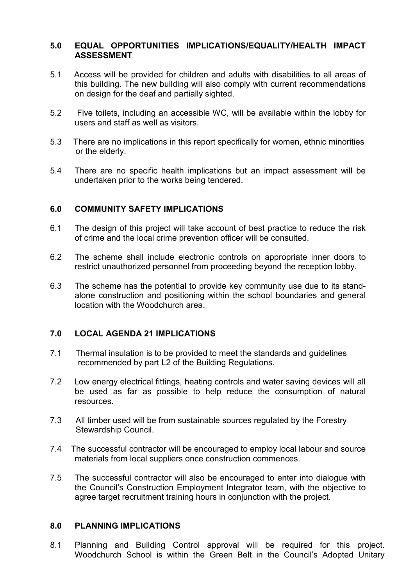# 5.0 EQUAL OPPORTUNITIES IMPLICATIONS/EQUALITY/HEALTH IMPACT ASSESSMENT

- 5.1 Access will be provided for children and adults with disabilities to all areas of this building. The new building will also comply with current recommendations on design for the deaf and partially sighted.
- 5.2 Five toilets, including an accessible WC, will be available within the lobby for users and staff as well as visitors.
- 5.3 There are no implications in this report specifically for women, ethnic minorities or the elderly.
- 5.4 There are no specific health implications but an impact assessment will be undertaken prior to the works being tendered.

## 6.0 COMMUNITY SAFETY IMPLICATIONS

- 6.1 The design of this project will take account of best practice to reduce the risk of crime and the local crime prevention officer will be consulted.
- 6.2 The scheme shall include electronic controls on appropriate inner doors to restrict unauthorized personnel from proceeding beyond the reception lobby.
- 6.3 The scheme has the potential to provide key community use due to its standalone construction and positioning within the school boundaries and general location with the Woodchurch area.

## 7.0 LOCAL AGENDA 21 IMPLICATIONS

- 7.1 Thermal insulation is to be provided to meet the standards and guidelines recommended by part L2 of the Building Regulations.
- 7.2 Low energy electrical fittings, heating controls and water saving devices will all be used as far as possible to help reduce the consumption of natural resources.
- 7.3 All timber used will be from sustainable sources regulated by the Forestry Stewardship Council.
- 7.4 The successful contractor will be encouraged to employ local labour and source materials from local suppliers once construction commences.
- 7.5 The successful contractor will also be encouraged to enter into dialogue with the Council's Construction Employment Integrator team, with the objective to agree target recruitment training hours in conjunction with the project.

## 8.0 PLANNING IMPLICATIONS

8.1 Planning and Building Control approval will be required for this project. Woodchurch School is within the Green Belt in the Council's Adopted Unitary